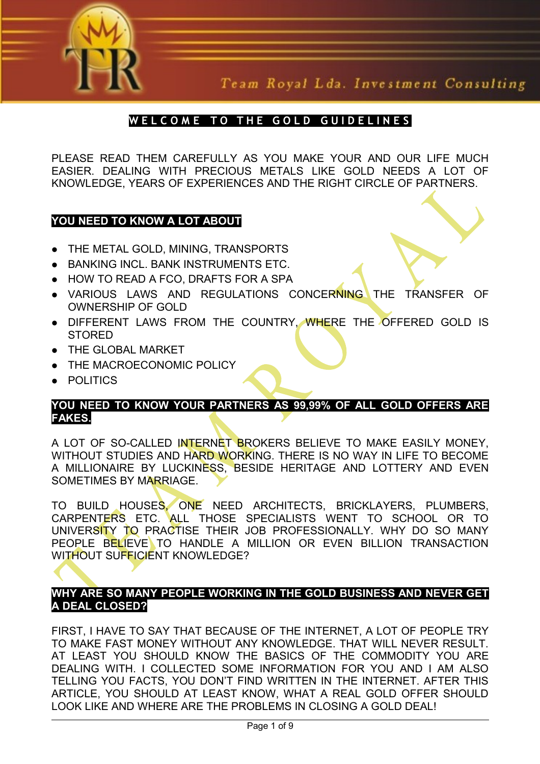

Team Royal Lda. Investment Consulting

# WELCOME TO THE GOLD GUIDELINES

PLEASE READ THEM CAREFULLY AS YOU MAKE YOUR AND OUR LIFE MUCH EASIER. DEALING WITH PRECIOUS METALS LIKE GOLD NEEDS A LOT OF KNOWLEDGE, YEARS OF EXPERIENCES AND THE RIGHT CIRCLE OF PARTNERS.

# **YOU NEED TO KNOW A LOT ABOUT**

- THE METAL GOLD, MINING, TRANSPORTS
- BANKING INCL. BANK INSTRUMENTS ETC.
- HOW TO READ A FCO, DRAFTS FOR A SPA
- VARIOUS LAWS AND REGULATIONS CONCERNING THE TRANSFER OF OWNERSHIP OF GOLD
- DIFFERENT LAWS FROM THE COUNTRY, WHERE THE OFFERED GOLD IS **STORED**
- **THE GLOBAL MARKET**
- **THE MACROECONOMIC POLICY**
- POLITICS

# **YOU NEED TO KNOW YOUR PARTNERS AS 99,99% OF ALL GOLD OFFERS ARE FAKES.**

A LOT OF SO-CALLED INTERNET BROKERS BELIEVE TO MAKE EASILY MONEY. WITHOUT STUDIES AND HARD WORKING. THERE IS NO WAY IN LIFE TO BECOME A MILLIONAIRE BY LUCKINESS, BESIDE HERITAGE AND LOTTERY AND EVEN SOMETIMES BY MARRIAGE.

TO BUILD HOUSES, ONE NEED ARCHITECTS, BRICKLAYERS, PLUMBERS, CARPENTERS ETC. ALL THOSE SPECIALISTS WENT TO SCHOOL OR TO UNIVERSITY TO PRACTISE THEIR JOB PROFESSIONALLY. WHY DO SO MANY PEOPLE BELIEVE TO HANDLE A MILLION OR EVEN BILLION TRANSACTION WITHOUT SUFFICIENT KNOWLEDGE?

# **WHY ARE SO MANY PEOPLE WORKING IN THE GOLD BUSINESS AND NEVER GET A DEAL CLOSED?**

FIRST, I HAVE TO SAY THAT BECAUSE OF THE INTERNET, A LOT OF PEOPLE TRY TO MAKE FAST MONEY WITHOUT ANY KNOWLEDGE. THAT WILL NEVER RESULT. AT LEAST YOU SHOULD KNOW THE BASICS OF THE COMMODITY YOU ARE DEALING WITH. I COLLECTED SOME INFORMATION FOR YOU AND I AM ALSO TELLING YOU FACTS, YOU DON'T FIND WRITTEN IN THE INTERNET. AFTER THIS ARTICLE, YOU SHOULD AT LEAST KNOW, WHAT A REAL GOLD OFFER SHOULD LOOK LIKE AND WHERE ARE THE PROBLEMS IN CLOSING A GOLD DEAL!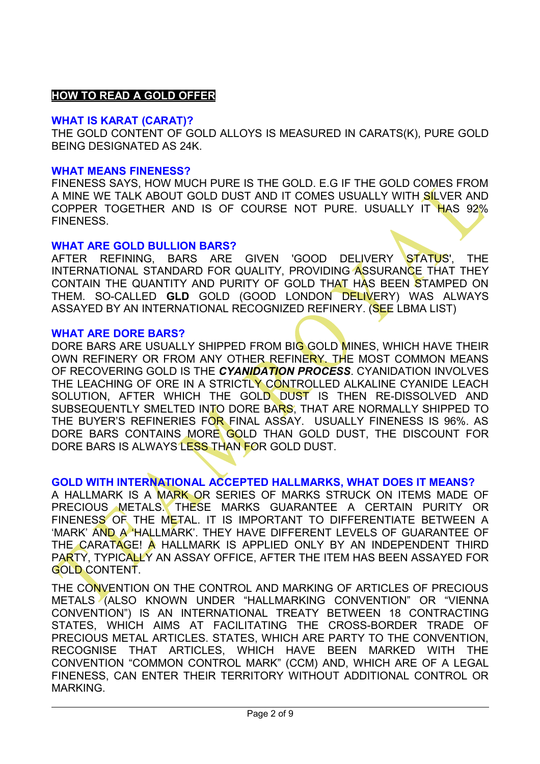# **HOW TO READ A GOLD OFFER**

#### **WHAT IS KARAT (CARAT)?**

THE GOLD CONTENT OF GOLD ALLOYS IS MEASURED IN [CARATS\(](file:///C:/Documents and Settings/WILDING/Defini??es locais/Temp/IM///wiki/Carat_\(purity\))K), PURE GOLD BEING DESIGNATED AS 24K.

#### **WHAT MEANS FINENESS?**

FINENESS SAYS, HOW MUCH PURE IS THE GOLD. E.G IF THE GOLD COMES FROM A MINE WE TALK ABOUT GOLD DUST AND IT COMES USUALLY WITH SILVER AND COPPER TOGETHER AND IS OF COURSE NOT PURE. USUALLY IT HAS 92% FINENESS.

#### **WHAT ARE GOLD BULLION BARS?**

AFTER REFINING, BARS ARE GIVEN 'GOOD DELIVERY STATUS', THE INTERNATIONAL STANDARD FOR QUALITY, PROVIDING ASSURANCE THAT THEY CONTAIN THE QUANTITY AND PURITY OF GOLD THAT HAS BEEN STAMPED ON THEM. SO-CALLED **GLD** GOLD (GOOD LONDON DELIVERY) WAS ALWAYS ASSAYED BY AN INTERNATIONAL RECOGNIZED REFINERY. (SEE LBMA LIST)

#### **WHAT ARE DORE BARS?**

DORE BARS ARE USUALLY SHIPPED FROM BIG GOLD MINES, WHICH HAVE THEIR OWN REFINERY OR FROM ANY OTHER REFINERY. THE MOST COMMON MEANS OF RECOVERING GOLD IS THE *CYANIDATION PROCESS*. CYANIDATION INVOLVES THE LEACHING OF ORE IN A STRICTLY CONTROLLED ALKALINE CYANIDE LEACH SOLUTION, AFTER WHICH THE GOLD DUST IS THEN RE-DISSOLVED AND SUBSEQUENTLY SMELTED INTO DORE BARS, THAT ARE NORMALLY SHIPPED TO THE BUYER'S REFINERIES FOR FINAL ASSAY. USUALLY FINENESS IS 96%. AS DORE BARS CONTAINS MORE GOLD THAN GOLD DUST, THE DISCOUNT FOR DORE BARS IS ALWAYS LESS THAN FOR GOLD DUST.

### **GOLD WITH INTERNATIONAL ACCEPTED HALLMARKS, WHAT DOES IT MEANS?**

A HALLMARK IS A MARK OR SERIES OF MARKS STRUCK ON ITEMS MADE OF PRECIOUS METALS. THESE MARKS GUARANTEE A CERTAIN PURITY OR FINENESS OF THE METAL. IT IS IMPORTANT TO DIFFERENTIATE BETWEEN A 'MARK' AND A 'HALLMARK'. THEY HAVE DIFFERENT LEVELS OF GUARANTEE OF THE CARATAGE! A HALLMARK IS APPLIED ONLY BY AN INDEPENDENT THIRD PARTY, TYPICALLY AN ASSAY OFFICE, AFTER THE ITEM HAS BEEN ASSAYED FOR GOLD CONTENT.

THE CONVENTION ON THE CONTROL AND MARKING OF ARTICLES OF PRECIOUS METALS (ALSO KNOWN UNDER "HALLMARKING CONVENTION" OR "VIENNA CONVENTION") IS AN INTERNATIONAL TREATY BETWEEN 18 CONTRACTING STATES, WHICH AIMS AT FACILITATING THE CROSS-BORDER TRADE OF PRECIOUS METAL ARTICLES. STATES, WHICH ARE PARTY TO THE CONVENTION, RECOGNISE THAT ARTICLES, WHICH HAVE BEEN MARKED WITH THE CONVENTION "COMMON CONTROL MARK" (CCM) AND, WHICH ARE OF A LEGAL FINENESS, CAN ENTER THEIR TERRITORY WITHOUT ADDITIONAL CONTROL OR MARKING.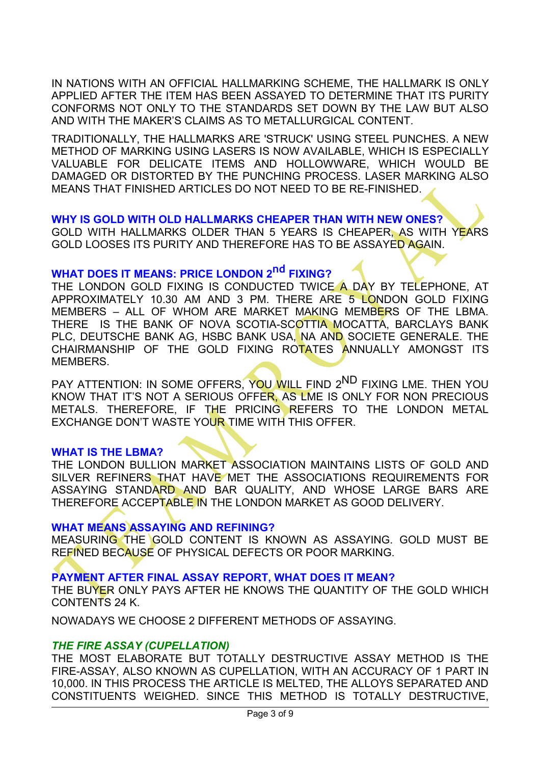IN NATIONS WITH AN OFFICIAL HALLMARKING SCHEME, THE HALLMARK IS ONLY APPLIED AFTER THE ITEM HAS BEEN [ASSAYED](file:///C:/Documents and Settings/WILDING/Defini??es locais/Temp/IM///wiki/Assay) TO DETERMINE THAT ITS PURITY CONFORMS NOT ONLY TO THE STANDARDS SET DOWN BY THE LAW BUT ALSO AND WITH THE MAKER'S CLAIMS AS TO METALLURGICAL CONTENT.

TRADITIONALLY, THE HALLMARKS ARE 'STRUCK' USING STEEL PUNCHES. A NEW METHOD OF MARKING USING [LASERS](file:///C:/Documents and Settings/WILDING/Defini??es locais/Temp/IM///wiki/Laser) IS NOW AVAILABLE, WHICH IS ESPECIALLY VALUABLE FOR DELICATE ITEMS AND [HOLLOWWARE,](file:///C:/Documents and Settings/WILDING/Defini??es locais/Temp/IM///wiki/Hollowware) WHICH WOULD BE DAMAGED OR DISTORTED BY THE PUNCHING PROCESS. LASER MARKING ALSO MEANS THAT FINISHED ARTICLES DO NOT NEED TO BE RE-FINISHED.

#### **WHY IS GOLD WITH OLD HALLMARKS CHEAPER THAN WITH NEW ONES?**

GOLD WITH HALLMARKS OLDER THAN 5 YEARS IS CHEAPER, AS WITH YEARS GOLD LOOSES ITS PURITY AND THEREFORE HAS TO BE ASSAYED AGAIN.

# **WHAT DOES IT MEANS: PRICE LONDON 2nd FIXING?**

THE LONDON GOLD FIXING IS CONDUCTED TWICE A DAY BY TELEPHONE, AT APPROXIMATELY 10.30 AM AND 3 PM. THERE ARE 5 LONDON GOLD FIXING MEMBERS – ALL OF WHOM ARE MARKET MAKING MEMBERS OF THE LBMA. THERE IS THE BANK OF NOVA SCOTIA-SCOTTIA MOCATTA, BARCLAYS BANK PLC, DEUTSCHE BANK AG, HSBC BANK USA, NA AND SOCIETE GENERALE. THE CHAIRMANSHIP OF THE GOLD FIXING ROTATES ANNUALLY AMONGST ITS MEMBERS.

PAY ATTENTION: IN SOME OFFERS, YOU WILL FIND 2<sup>ND</sup> FIXING LME. THEN YOU KNOW THAT IT'S NOT A SERIOUS OFFER, AS LME IS ONLY FOR NON PRECIOUS METALS. THEREFORE, IF THE PRICING REFERS TO THE LONDON METAL EXCHANGE DON'T WASTE YOUR TIME WITH THIS OFFER.

# **WHAT IS THE LBMA?**

THE LONDON BULLION MARKET ASSOCIATION MAINTAINS LISTS OF GOLD AND SILVER REFINERS THAT HAVE MET THE ASSOCIATIONS REQUIREMENTS FOR ASSAYING STANDARD AND BAR QUALITY, AND WHOSE LARGE BARS ARE THEREFORE ACCEPTABLE IN THE LONDON MARKET AS GOOD DELIVERY.

### **WHAT MEANS ASSAYING AND REFINING?**

MEASURING THE GOLD CONTENT IS KNOWN AS ASSAYING. GOLD MUST BE REFINED BECAUSE OF PHYSICAL DEFECTS OR POOR MARKING.

#### **PAYMENT AFTER FINAL ASSAY REPORT, WHAT DOES IT MEAN?**

THE BUYER ONLY PAYS AFTER HE KNOWS THE QUANTITY OF THE GOLD WHICH CONTENTS 24 K.

NOWADAYS WE CHOOSE 2 DIFFERENT METHODS OF ASSAYING.

### *THE FIRE ASSAY (CUPELLATION)*

THE MOST ELABORATE BUT TOTALLY DESTRUCTIVE ASSAY METHOD IS THE FIRE-ASSAY, ALSO KNOWN AS CUPELLATION, WITH AN ACCURACY OF 1 PART IN 10,000. IN THIS PROCESS THE ARTICLE IS MELTED, THE ALLOYS SEPARATED AND CONSTITUENTS WEIGHED. SINCE THIS METHOD IS TOTALLY DESTRUCTIVE,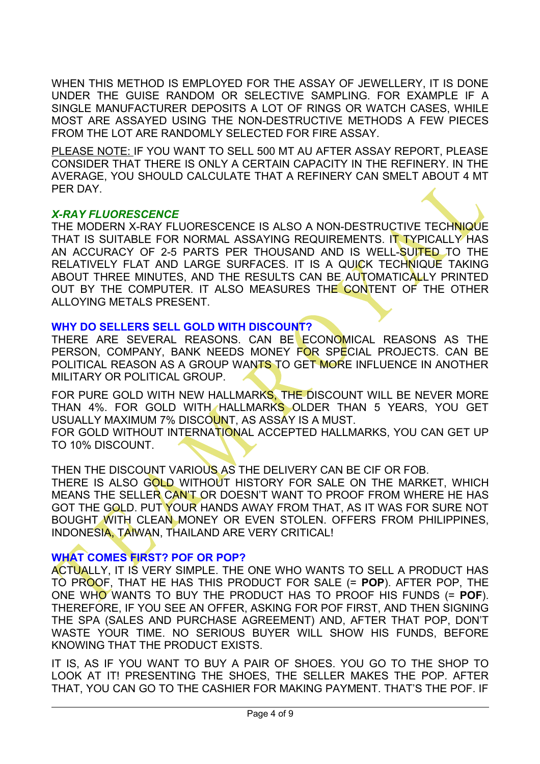WHEN THIS METHOD IS EMPLOYED FOR THE ASSAY OF JEWELLERY, IT IS DONE UNDER THE GUISE RANDOM OR SELECTIVE SAMPLING. FOR EXAMPLE IF A SINGLE MANUFACTURER DEPOSITS A LOT OF RINGS OR WATCH CASES, WHILE MOST ARE ASSAYED USING THE NON-DESTRUCTIVE METHODS A FEW PIECES FROM THE LOT ARE RANDOMLY SELECTED FOR FIRE ASSAY.

PLEASE NOTE: IF YOU WANT TO SELL 500 MT AU AFTER ASSAY REPORT, PLEASE CONSIDER THAT THERE IS ONLY A CERTAIN CAPACITY IN THE REFINERY. IN THE AVERAGE, YOU SHOULD CALCULATE THAT A REFINERY CAN SMELT ABOUT 4 MT PER DAY.

# *X-RAY FLUORESCENCE*

THE MODERN X-RAY FLUORESCENCE IS ALSO A NON-DESTRUCTIVE TECHNIQUE THAT IS SUITABLE FOR NORMAL ASSAYING REQUIREMENTS. IT TYPICALLY HAS AN ACCURACY OF 2-5 PARTS PER THOUSAND AND IS WELL-SUITED TO THE RELATIVELY FLAT AND LARGE SURFACES. IT IS A QUICK TECHNIQUE TAKING ABOUT THREE MINUTES, AND THE RESULTS CAN BE AUTOMATICALLY PRINTED OUT BY THE COMPUTER. IT ALSO MEASURES THE CONTENT OF THE OTHER ALLOYING METALS PRESENT.

# **WHY DO SELLERS SELL GOLD WITH DISCOUNT?**

THERE ARE SEVERAL REASONS. CAN BE ECONOMICAL REASONS AS THE PERSON, COMPANY, BANK NEEDS MONEY FOR SPECIAL PROJECTS. CAN BE POLITICAL REASON AS A GROUP WANTS TO GET MORE INFLUENCE IN ANOTHER MILITARY OR POLITICAL GROUP.

FOR PURE GOLD WITH NEW HALLMARKS. THE DISCOUNT WILL BE NEVER MORE THAN 4%. FOR GOLD WITH HALLMARKS OLDER THAN 5 YEARS, YOU GET USUALLY MAXIMUM 7% DISCOUNT, AS ASSAY IS A MUST.

FOR GOLD WITHOUT INTERNATIONAL ACCEPTED HALLMARKS, YOU CAN GET UP TO 10% DISCOUNT.

THEN THE DISCOUNT VARIOUS AS THE DELIVERY CAN BE CIF OR FOB.

THERE IS ALSO GOLD WITHOUT HISTORY FOR SALE ON THE MARKET, WHICH MEANS THE SELLER CAN'T OR DOESN'T WANT TO PROOF FROM WHERE HE HAS GOT THE GOLD. PUT YOUR HANDS AWAY FROM THAT, AS IT WAS FOR SURE NOT BOUGHT WITH CLEAN MONEY OR EVEN STOLEN. OFFERS FROM PHILIPPINES, INDONESIA, TAIWAN, THAILAND ARE VERY CRITICAL!

# **WHAT COMES FIRST? POF OR POP?**

ACTUALLY, IT IS VERY SIMPLE. THE ONE WHO WANTS TO SELL A PRODUCT HAS TO PROOF, THAT HE HAS THIS PRODUCT FOR SALE (= **POP**). AFTER POP, THE ONE WHO WANTS TO BUY THE PRODUCT HAS TO PROOF HIS FUNDS (= **POF**). THEREFORE, IF YOU SEE AN OFFER, ASKING FOR POF FIRST, AND THEN SIGNING THE SPA (SALES AND PURCHASE AGREEMENT) AND, AFTER THAT POP, DON'T WASTE YOUR TIME. NO SERIOUS BUYER WILL SHOW HIS FUNDS, BEFORE KNOWING THAT THE PRODUCT EXISTS.

IT IS, AS IF YOU WANT TO BUY A PAIR OF SHOES. YOU GO TO THE SHOP TO LOOK AT IT! PRESENTING THE SHOES, THE SELLER MAKES THE POP. AFTER THAT, YOU CAN GO TO THE CASHIER FOR MAKING PAYMENT. THAT'S THE POF. IF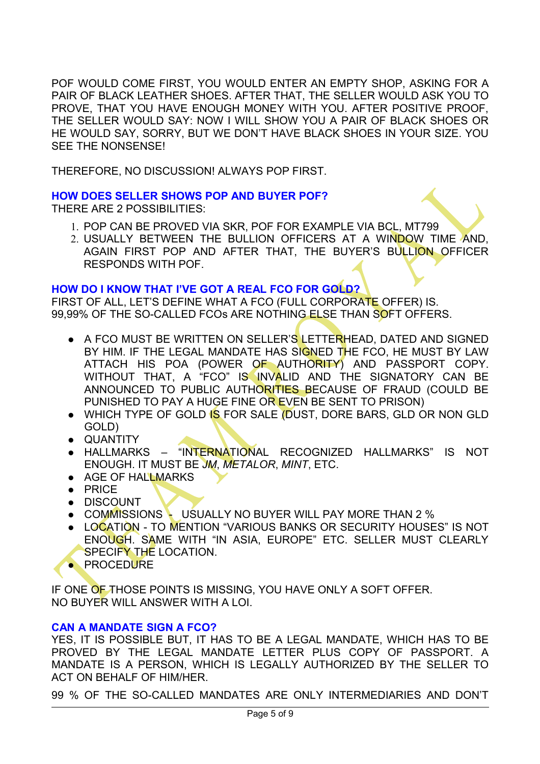POF WOULD COME FIRST, YOU WOULD ENTER AN EMPTY SHOP, ASKING FOR A PAIR OF BLACK LEATHER SHOES. AFTER THAT, THE SELLER WOULD ASK YOU TO PROVE, THAT YOU HAVE ENOUGH MONEY WITH YOU. AFTER POSITIVE PROOF, THE SELLER WOULD SAY: NOW I WILL SHOW YOU A PAIR OF BLACK SHOES OR HE WOULD SAY, SORRY, BUT WE DON'T HAVE BLACK SHOES IN YOUR SIZE. YOU SEE THE NONSENSE!

THEREFORE, NO DISCUSSION! ALWAYS POP FIRST.

# **HOW DOES SELLER SHOWS POP AND BUYER POF?**

THERE ARE 2 POSSIBILITIES:

- 1. POP CAN BE PROVED VIA SKR, POF FOR EXAMPLE VIA BCL, MT799
- 2. USUALLY BETWEEN THE BULLION OFFICERS AT A WINDOW TIME AND, AGAIN FIRST POP AND AFTER THAT, THE BUYER'S BULLION OFFICER RESPONDS WITH POF.

# **HOW DO I KNOW THAT I'VE GOT A REAL FCO FOR GOLD?**

FIRST OF ALL, LET'S DEFINE WHAT A FCO (FULL CORPORATE OFFER) IS. 99,99% OF THE SO-CALLED FCOS ARE NOTHING ELSE THAN SOFT OFFERS.

- A FCO MUST BE WRITTEN ON SELLER'S LETTERHEAD, DATED AND SIGNED BY HIM. IF THE LEGAL MANDATE HAS SIGNED THE FCO, HE MUST BY LAW ATTACH HIS POA (POWER OF AUTHORITY) AND PASSPORT COPY. WITHOUT THAT, A "FCO" IS INVALID AND THE SIGNATORY CAN BE ANNOUNCED TO PUBLIC AUTHORITIES BECAUSE OF FRAUD (COULD BE PUNISHED TO PAY A HUGE FINE OR EVEN BE SENT TO PRISON)
- WHICH TYPE OF GOLD IS FOR SALE (DUST, DORE BARS, GLD OR NON GLD GOLD)
- QUANTITY
- HALLMARKS "INTERNATIONAL RECOGNIZED HALLMARKS" IS NOT ENOUGH. IT MUST BE *JM*, *METALOR*, *MINT*, ETC.
- AGE OF HALLMARKS
- PRICE
- DISCOUNT
- **COMMISSIONS USUALLY NO BUYER WILL PAY MORE THAN 2 %**
- LOCATION TO MENTION "VARIOUS BANKS OR SECURITY HOUSES" IS NOT ENOUGH. SAME WITH "IN ASIA, EUROPE" ETC. SELLER MUST CLEARLY SPECIFY THE LOCATION.
- **PROCEDURE**

IF ONE OF THOSE POINTS IS MISSING, YOU HAVE ONLY A SOFT OFFER. NO BUYER WILL ANSWER WITH A LOI.

# **CAN A MANDATE SIGN A FCO?**

YES, IT IS POSSIBLE BUT, IT HAS TO BE A LEGAL MANDATE, WHICH HAS TO BE PROVED BY THE LEGAL MANDATE LETTER PLUS COPY OF PASSPORT. A MANDATE IS A PERSON, WHICH IS LEGALLY AUTHORIZED BY THE SELLER TO ACT ON BEHALF OF HIM/HER.

99 % OF THE SO-CALLED MANDATES ARE ONLY INTERMEDIARIES AND DON'T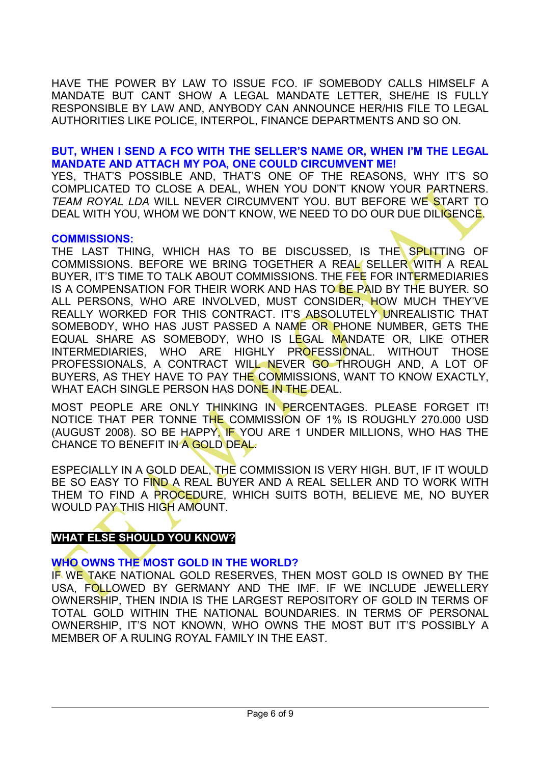HAVE THE POWER BY LAW TO ISSUE FCO. IF SOMEBODY CALLS HIMSELF A MANDATE BUT CANT SHOW A LEGAL MANDATE LETTER, SHE/HE IS FULLY RESPONSIBLE BY LAW AND, ANYBODY CAN ANNOUNCE HER/HIS FILE TO LEGAL AUTHORITIES LIKE POLICE, INTERPOL, FINANCE DEPARTMENTS AND SO ON.

# **BUT, WHEN I SEND A FCO WITH THE SELLER'S NAME OR, WHEN I'M THE LEGAL MANDATE AND ATTACH MY POA, ONE COULD CIRCUMVENT ME!**

YES, THAT'S POSSIBLE AND, THAT'S ONE OF THE REASONS, WHY IT'S SO COMPLICATED TO CLOSE A DEAL, WHEN YOU DON'T KNOW YOUR PARTNERS. *TEAM ROYAL LDA* WILL NEVER CIRCUMVENT YOU. BUT BEFORE WE START TO DEAL WITH YOU, WHOM WE DON'T KNOW, WE NEED TO DO OUR DUE DILIGENCE.

### **COMMISSIONS:**

THE LAST THING, WHICH HAS TO BE DISCUSSED. IS THE SPLITTING OF COMMISSIONS. BEFORE WE BRING TOGETHER A REAL SELLER WITH A REAL BUYER, IT'S TIME TO TALK ABOUT COMMISSIONS. THE FEE FOR INTERMEDIARIES IS A COMPENSATION FOR THEIR WORK AND HAS TO BE PAID BY THE BUYER. SO ALL PERSONS, WHO ARE INVOLVED, MUST CONSIDER, HOW MUCH THEY'VE REALLY WORKED FOR THIS CONTRACT. IT'S ABSOLUTELY UNREALISTIC THAT SOMEBODY, WHO HAS JUST PASSED A NAME OR PHONE NUMBER, GETS THE EQUAL SHARE AS SOMEBODY, WHO IS LEGAL MANDATE OR, LIKE OTHER INTERMEDIARIES, WHO ARE HIGHLY PROFESSIONAL. WITHOUT THOSE PROFESSIONALS, A CONTRACT WILL NEVER GO THROUGH AND, A LOT OF BUYERS, AS THEY HAVE TO PAY THE COMMISSIONS, WANT TO KNOW EXACTLY, WHAT EACH SINGLE PERSON HAS DONE IN THE DEAL.

MOST PEOPLE ARE ONLY THINKING IN PERCENTAGES. PLEASE FORGET IT! NOTICE THAT PER TONNE THE COMMISSION OF 1% IS ROUGHLY 270.000 USD (AUGUST 2008). SO BE HAPPY, IF YOU ARE 1 UNDER MILLIONS, WHO HAS THE CHANCE TO BENEFIT IN A GOLD DEAL.

ESPECIALLY IN A GOLD DEAL, THE COMMISSION IS VERY HIGH. BUT, IF IT WOULD BE SO EASY TO FIND A REAL BUYER AND A REAL SELLER AND TO WORK WITH THEM TO FIND A PROCEDURE, WHICH SUITS BOTH, BELIEVE ME, NO BUYER WOULD PAY THIS HIGH AMOUNT.

# **WHAT ELSE SHOULD YOU KNOW?**

# **WHO OWNS THE MOST GOLD IN THE WORLD?**

IF WE TAKE NATIONAL GOLD RESERVES, THEN MOST GOLD IS OWNED BY THE USA, FOLLOWED BY GERMANY AND THE IMF. IF WE INCLUDE JEWELLERY OWNERSHIP, THEN INDIA IS THE LARGEST REPOSITORY OF GOLD IN TERMS OF TOTAL GOLD WITHIN THE NATIONAL BOUNDARIES. IN TERMS OF PERSONAL OWNERSHIP, IT'S NOT KNOWN, WHO OWNS THE MOST BUT IT'S POSSIBLY A MEMBER OF A RULING ROYAL FAMILY IN THE EAST.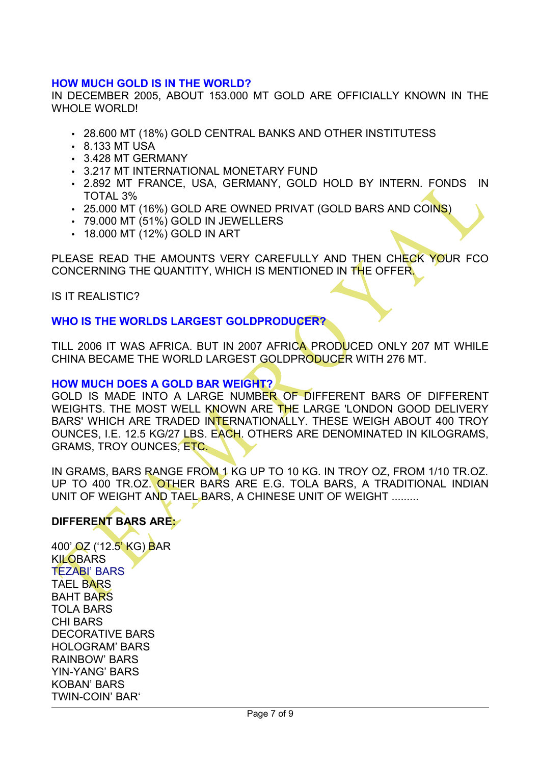# **HOW MUCH GOLD IS IN THE WORLD?**

IN DECEMBER 2005, ABOUT 153.000 MT GOLD ARE OFFICIALLY KNOWN IN THE WHOLE WORLD!

- 28.600 MT (18%) GOLD CENTRAL BANKS AND OTHER INSTITUTESS
- 8.133 MT USA
- 3.428 MT GERMANY
- 3.217 MT INTERNATIONAL MONETARY FUND
- 2.892 MT FRANCE, USA, GERMANY, GOLD HOLD BY INTERN. FONDS IN TOTAL 3%
- 25.000 MT (16%) GOLD ARE OWNED PRIVAT (GOLD BARS AND COINS)
- 79.000 MT (51%) GOLD IN JEWELLERS
- 18.000 MT (12%) GOLD IN ART

PLEASE READ THE AMOUNTS VERY CAREFULLY AND THEN CHECK YOUR FCO CONCERNING THE QUANTITY, WHICH IS MENTIONED IN THE OFFER.

#### IS IT REALISTIC?

### **WHO IS THE WORLDS LARGEST GOLDPRODUCER?**

TILL 2006 IT WAS AFRICA. BUT IN 2007 AFRICA PRODUCED ONLY 207 MT WHILE CHINA BECAME THE WORLD LARGEST GOLDPRODUCER WITH 276 MT.

#### **HOW MUCH DOES A GOLD BAR WEIGHT?**

GOLD IS MADE INTO A LARGE NUMBER OF DIFFERENT BARS OF DIFFERENT WEIGHTS. THE MOST WELL KNOWN ARE THE LARGE 'LONDON GOOD DELIVERY BARS' WHICH ARE TRADED INTERNATIONALLY. THESE WEIGH ABOUT 400 TROY OUNCES, I.E. 12.5 KG/27 LBS. EACH. OTHERS ARE DENOMINATED IN KILOGRAMS, GRAMS, TROY OUNCES, ETC.

IN GRAMS, BARS RANGE FROM 1 KG UP TO 10 KG. IN TROY OZ, FROM 1/10 TR.OZ. UP TO 400 TR.OZ. OTHER BARS ARE E.G. TOLA BARS, A TRADITIONAL INDIAN UNIT OF WEIGHT AND TAEL BARS, A CHINESE UNIT OF WEIGHT .........

# **DIFFERENT BARS ARE:**

<span id="page-6-12"></span><span id="page-6-11"></span><span id="page-6-10"></span><span id="page-6-9"></span><span id="page-6-8"></span><span id="page-6-7"></span><span id="page-6-6"></span><span id="page-6-5"></span><span id="page-6-4"></span><span id="page-6-3"></span><span id="page-6-2"></span><span id="page-6-1"></span><span id="page-6-0"></span>[400' OZ \('12.5' KG\) BAR](#page-6-12) [KILOBARS](#page-6-11) [TEZABI' BARS](#page-6-0) [TAEL BARS](#page-6-10) [BAHT BARS](#page-6-9) [TOLA BARS](#page-6-8) [CHI BARS](#page-6-7) [DECORATIVE BARS](#page-6-6) [HOLOGRAM' BARS](#page-6-5) [RAINBOW'](#page-6-4) BARS [YIN-YANG' BARS](#page-6-3) [KOBAN' BARS](#page-6-2) [TWIN-COIN' BAR'](#page-6-1)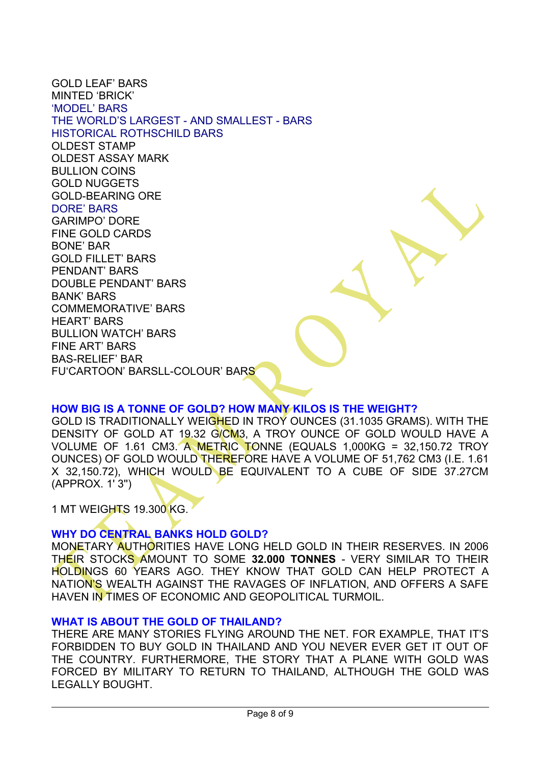<span id="page-7-24"></span><span id="page-7-23"></span><span id="page-7-22"></span><span id="page-7-21"></span><span id="page-7-20"></span><span id="page-7-19"></span><span id="page-7-18"></span><span id="page-7-17"></span><span id="page-7-16"></span><span id="page-7-15"></span><span id="page-7-14"></span><span id="page-7-1"></span><span id="page-7-0"></span>[GOLD LEAF' BARS](#page-7-22) [MINTED 'BRICK'](#page-7-21)  ['MODEL' BARS](#page-7-0) [THE WORLD'S LARGEST - AND SMALLEST - BARS](#page-7-24) [HISTORICAL ROTHSCHILD BARS](#page-7-23) [OLDEST STAMP](#page-7-20) [OLDEST ASSAY MARK](#page-7-19) [BULLION COINS](#page-7-18) [GOLD NUGGETS](#page-7-17) [GOLD-BEARING ORE](#page-7-16) [DORE' BARS](#page-7-1) [GARIMPO' DORE](#page-7-15) [FINE GOLD CARDS](#page-7-14) [BONE' BAR](#page-7-13) [GOLD FILLET' BARS](#page-7-12) [PENDANT' BARS](#page-7-11) [DOUBLE PENDANT' BARS](#page-7-10) [BANK' BARS](#page-7-9) [COMMEMORATIVE' BARS](#page-7-8) [HEART' BARS](#page-7-7) [BULLION WATCH' BARS](#page-7-6) [FINE ART' BARS](#page-7-5) [BAS-RELIEF' BAR](#page-7-4) [FU](#page-7-3)['CARTOON' BARS](#page-7-2)[LL-COLOUR' BARS](#page-7-3)

# <span id="page-7-13"></span><span id="page-7-12"></span><span id="page-7-11"></span><span id="page-7-10"></span><span id="page-7-9"></span><span id="page-7-8"></span><span id="page-7-7"></span><span id="page-7-6"></span><span id="page-7-5"></span><span id="page-7-4"></span><span id="page-7-3"></span><span id="page-7-2"></span>**HOW BIG IS A TONNE OF GOLD? HOW MANY KILOS IS THE WEIGHT?**

GOLD IS TRADITIONALLY WEIGHED IN TROY OUNCES (31.1035 GRAMS). WITH THE DENSITY OF GOLD AT 19.32 G/CM3, A TROY OUNCE OF GOLD WOULD HAVE A VOLUME OF 1.61 CM3. A METRIC TONNE (EQUALS 1,000KG = 32,150.72 TROY OUNCES) OF GOLD WOULD THEREFORE HAVE A VOLUME OF 51,762 CM3 (I.E. 1.61 X 32,150.72), WHICH WOULD BE EQUIVALENT TO A CUBE OF SIDE 37.27CM (APPROX. 1' 3'')

1 MT WEIGHTS 19.300 KG.

# **WHY DO CENTRAL BANKS HOLD GOLD?**

MONETARY AUTHORITIES HAVE LONG HELD GOLD IN THEIR RESERVES. IN 2006 THEIR STOCKS AMOUNT TO SOME **32.000 TONNES** - VERY SIMILAR TO THEIR HOLDINGS 60 YEARS AGO. THEY KNOW THAT GOLD CAN HELP PROTECT A NATION'S WEALTH AGAINST THE RAVAGES OF INFLATION, AND OFFERS A SAFE HAVEN IN TIMES OF ECONOMIC AND GEOPOLITICAL TURMOIL.

### **WHAT IS ABOUT THE GOLD OF THAILAND?**

THERE ARE MANY STORIES FLYING AROUND THE NET. FOR EXAMPLE, THAT IT'S FORBIDDEN TO BUY GOLD IN THAILAND AND YOU NEVER EVER GET IT OUT OF THE COUNTRY. FURTHERMORE, THE STORY THAT A PLANE WITH GOLD WAS FORCED BY MILITARY TO RETURN TO THAILAND, ALTHOUGH THE GOLD WAS LEGALLY BOUGHT.